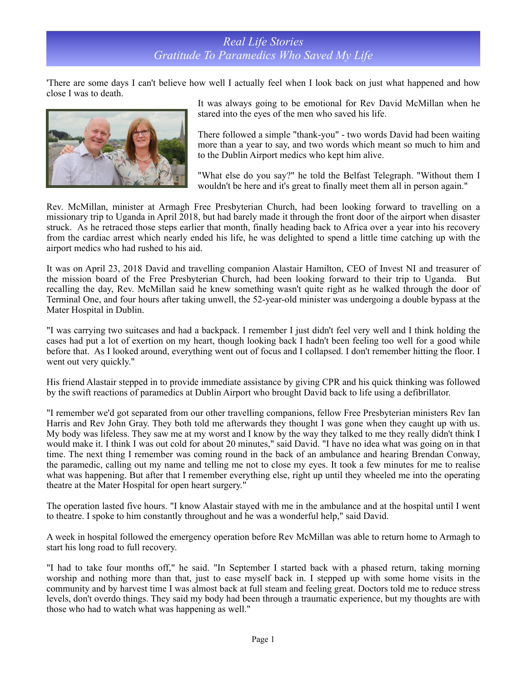## *Real Life Stories Gratitude To Paramedics Who Saved My Life*

'There are some days I can't believe how well I actually feel when I look back on just what happened and how close I was to death.



It was always going to be emotional for Rev David McMillan when he stared into the eyes of the men who saved his life.

There followed a simple "thank-you" - two words David had been waiting more than a year to say, and two words which meant so much to him and to the Dublin Airport medics who kept him alive.

"What else do you say?" he told the Belfast Telegraph. "Without them I wouldn't be here and it's great to finally meet them all in person again."

Rev. McMillan, minister at Armagh Free Presbyterian Church, had been looking forward to travelling on a missionary trip to Uganda in April 2018, but had barely made it through the front door of the airport when disaster struck. As he retraced those steps earlier that month, finally heading back to Africa over a year into his recovery from the cardiac arrest which nearly ended his life, he was delighted to spend a little time catching up with the airport medics who had rushed to his aid.

It was on April 23, 2018 David and travelling companion Alastair Hamilton, CEO of Invest NI and treasurer of the mission board of the Free Presbyterian Church, had been looking forward to their trip to Uganda. But recalling the day, Rev. McMillan said he knew something wasn't quite right as he walked through the door of Terminal One, and four hours after taking unwell, the 52-year-old minister was undergoing a double bypass at the Mater Hospital in Dublin.

"I was carrying two suitcases and had a backpack. I remember I just didn't feel very well and I think holding the cases had put a lot of exertion on my heart, though looking back I hadn't been feeling too well for a good while before that. As I looked around, everything went out of focus and I collapsed. I don't remember hitting the floor. I went out very quickly."

His friend Alastair stepped in to provide immediate assistance by giving CPR and his quick thinking was followed by the swift reactions of paramedics at Dublin Airport who brought David back to life using a defibrillator.

"I remember we'd got separated from our other travelling companions, fellow Free Presbyterian ministers Rev Ian Harris and Rev John Gray. They both told me afterwards they thought I was gone when they caught up with us. My body was lifeless. They saw me at my worst and I know by the way they talked to me they really didn't think I would make it. I think I was out cold for about 20 minutes," said David. "I have no idea what was going on in that time. The next thing I remember was coming round in the back of an ambulance and hearing Brendan Conway, the paramedic, calling out my name and telling me not to close my eyes. It took a few minutes for me to realise what was happening. But after that I remember everything else, right up until they wheeled me into the operating theatre at the Mater Hospital for open heart surgery."

The operation lasted five hours. "I know Alastair stayed with me in the ambulance and at the hospital until I went to theatre. I spoke to him constantly throughout and he was a wonderful help," said David.

A week in hospital followed the emergency operation before Rev McMillan was able to return home to Armagh to start his long road to full recovery.

"I had to take four months off," he said. "In September I started back with a phased return, taking morning worship and nothing more than that, just to ease myself back in. I stepped up with some home visits in the community and by harvest time I was almost back at full steam and feeling great. Doctors told me to reduce stress levels, don't overdo things. They said my body had been through a traumatic experience, but my thoughts are with those who had to watch what was happening as well."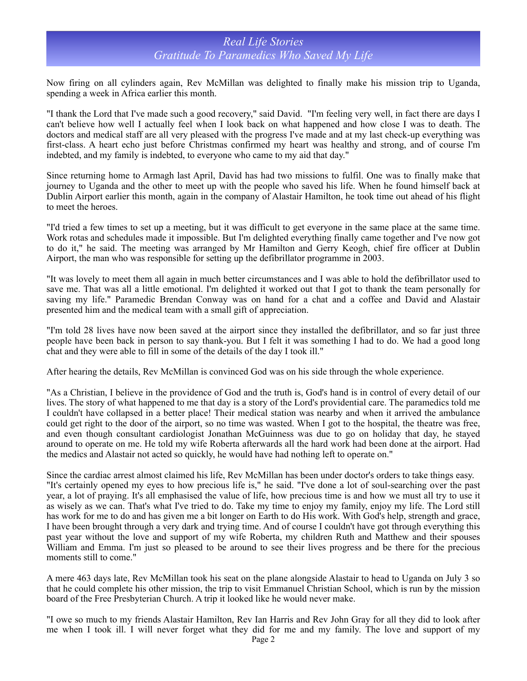## *Real Life Stories Gratitude To Paramedics Who Saved My Life*

Now firing on all cylinders again, Rev McMillan was delighted to finally make his mission trip to Uganda, spending a week in Africa earlier this month.

"I thank the Lord that I've made such a good recovery," said David. "I'm feeling very well, in fact there are days I can't believe how well I actually feel when I look back on what happened and how close I was to death. The doctors and medical staff are all very pleased with the progress I've made and at my last check-up everything was first-class. A heart echo just before Christmas confirmed my heart was healthy and strong, and of course I'm indebted, and my family is indebted, to everyone who came to my aid that day."

Since returning home to Armagh last April, David has had two missions to fulfil. One was to finally make that journey to Uganda and the other to meet up with the people who saved his life. When he found himself back at Dublin Airport earlier this month, again in the company of Alastair Hamilton, he took time out ahead of his flight to meet the heroes.

"I'd tried a few times to set up a meeting, but it was difficult to get everyone in the same place at the same time. Work rotas and schedules made it impossible. But I'm delighted everything finally came together and I've now got to do it," he said. The meeting was arranged by Mr Hamilton and Gerry Keogh, chief fire officer at Dublin Airport, the man who was responsible for setting up the defibrillator programme in 2003.

"It was lovely to meet them all again in much better circumstances and I was able to hold the defibrillator used to save me. That was all a little emotional. I'm delighted it worked out that I got to thank the team personally for saving my life." Paramedic Brendan Conway was on hand for a chat and a coffee and David and Alastair presented him and the medical team with a small gift of appreciation.

"I'm told 28 lives have now been saved at the airport since they installed the defibrillator, and so far just three people have been back in person to say thank-you. But I felt it was something I had to do. We had a good long chat and they were able to fill in some of the details of the day I took ill."

After hearing the details, Rev McMillan is convinced God was on his side through the whole experience.

"As a Christian, I believe in the providence of God and the truth is, God's hand is in control of every detail of our lives. The story of what happened to me that day is a story of the Lord's providential care. The paramedics told me I couldn't have collapsed in a better place! Their medical station was nearby and when it arrived the ambulance could get right to the door of the airport, so no time was wasted. When I got to the hospital, the theatre was free, and even though consultant cardiologist Jonathan McGuinness was due to go on holiday that day, he stayed around to operate on me. He told my wife Roberta afterwards all the hard work had been done at the airport. Had the medics and Alastair not acted so quickly, he would have had nothing left to operate on."

Since the cardiac arrest almost claimed his life, Rev McMillan has been under doctor's orders to take things easy. "It's certainly opened my eyes to how precious life is," he said. "I've done a lot of soul-searching over the past year, a lot of praying. It's all emphasised the value of life, how precious time is and how we must all try to use it as wisely as we can. That's what I've tried to do. Take my time to enjoy my family, enjoy my life. The Lord still has work for me to do and has given me a bit longer on Earth to do His work. With God's help, strength and grace, I have been brought through a very dark and trying time. And of course I couldn't have got through everything this past year without the love and support of my wife Roberta, my children Ruth and Matthew and their spouses William and Emma. I'm just so pleased to be around to see their lives progress and be there for the precious moments still to come."

A mere 463 days late, Rev McMillan took his seat on the plane alongside Alastair to head to Uganda on July 3 so that he could complete his other mission, the trip to visit Emmanuel Christian School, which is run by the mission board of the Free Presbyterian Church. A trip it looked like he would never make.

"I owe so much to my friends Alastair Hamilton, Rev Ian Harris and Rev John Gray for all they did to look after me when I took ill. I will never forget what they did for me and my family. The love and support of my